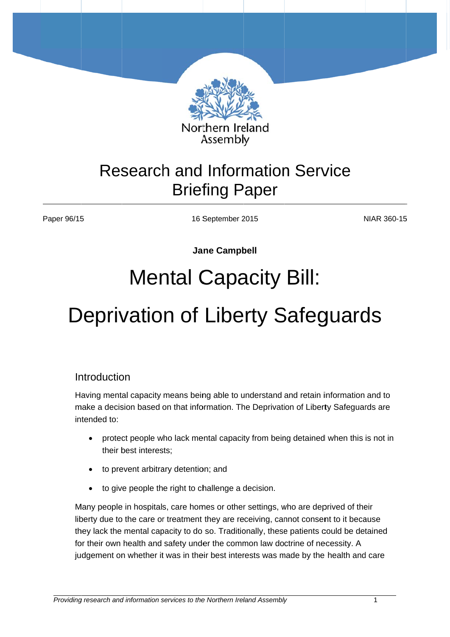

## Research and Information Service Brief fing P aper

Paper 96/15

16 S September 2 2015

N NIAR 360-15 5

**Jane Campbell** 

# Mental Capacity Bill:

# 16 September 2015<br>Jane Campbell<br>Mental Capacity Bill:<br>Deprivation of Liberty Safeguards

### Introduction

Having mental capacity means being able to understand and retain information and to make a decision based on that information. The Deprivation of Liberty Safeguards are in tended to:

- protect people who lack mental capacity from being detained when this is not in their best interests;
- to prevent arbitrary detention; and
- to give people the right to challenge a decision.

Many people in hospitals, care homes or other settings, who are deprived of their liberty due to the care or treatment they are receiving, cannot consent to it because they lack the mental capacity to do so. Traditionally, these patients could be detained for their own health and safety under the common law doctrine of necessity. A judgement on whether it was in their best interests was made by the health and care

֧֪֚֞֝֬֝֬֝֬֝֬֝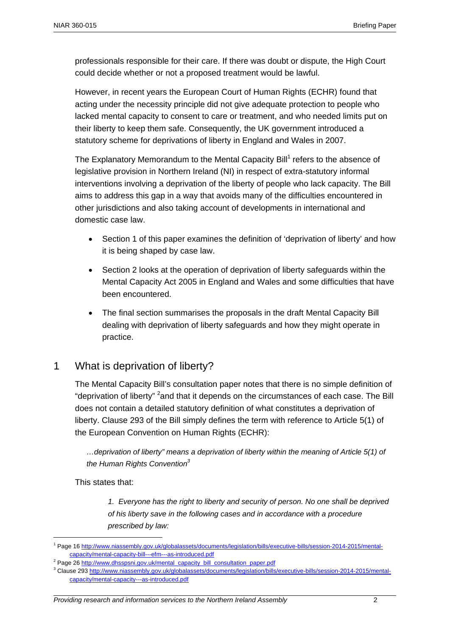professionals responsible for their care. If there was doubt or dispute, the High Court could decide whether or not a proposed treatment would be lawful.

However, in recent years the European Court of Human Rights (ECHR) found that acting under the necessity principle did not give adequate protection to people who lacked mental capacity to consent to care or treatment, and who needed limits put on their liberty to keep them safe. Consequently, the UK government introduced a statutory scheme for deprivations of liberty in England and Wales in 2007.

The Explanatory Memorandum to the Mental Capacity Bill<sup>1</sup> refers to the absence of legislative provision in Northern Ireland (NI) in respect of extra-statutory informal interventions involving a deprivation of the liberty of people who lack capacity. The Bill aims to address this gap in a way that avoids many of the difficulties encountered in other jurisdictions and also taking account of developments in international and domestic case law.

- Section 1 of this paper examines the definition of 'deprivation of liberty' and how it is being shaped by case law.
- Section 2 looks at the operation of deprivation of liberty safeguards within the Mental Capacity Act 2005 in England and Wales and some difficulties that have been encountered.
- The final section summarises the proposals in the draft Mental Capacity Bill dealing with deprivation of liberty safeguards and how they might operate in practice.

### 1 What is deprivation of liberty?

The Mental Capacity Bill's consultation paper notes that there is no simple definition of "deprivation of liberty" <sup>2</sup> and that it depends on the circumstances of each case. The Bill does not contain a detailed statutory definition of what constitutes a deprivation of liberty. Clause 293 of the Bill simply defines the term with reference to Article 5(1) of the European Convention on Human Rights (ECHR):

*…deprivation of liberty" means a deprivation of liberty within the meaning of Article 5(1) of the Human Rights Convention3*

This states that:

1

*1. Everyone has the right to liberty and security of person. No one shall be deprived of his liberty save in the following cases and in accordance with a procedure prescribed by law:* 

<sup>&</sup>lt;sup>1</sup> Page 16 http://www.niassembly.gov.uk/globalassets/documents/legislation/bills/executive-bills/session-2014-2015/mentalcapacity/mental-capacity-bill---efm---as-introduced.pdf

<sup>&</sup>lt;sup>2</sup> Page 26 http://www.dhsspsni.gov.uk/mental\_capacity\_bill\_consultation\_paper.pdf

<sup>&</sup>lt;sup>3</sup> Clause 293 http://www.niassembly.gov.uk/globalassets/documents/legislation/bills/executive-bills/session-2014-2015/mentalcapacity/mental-capacity---as-introduced.pdf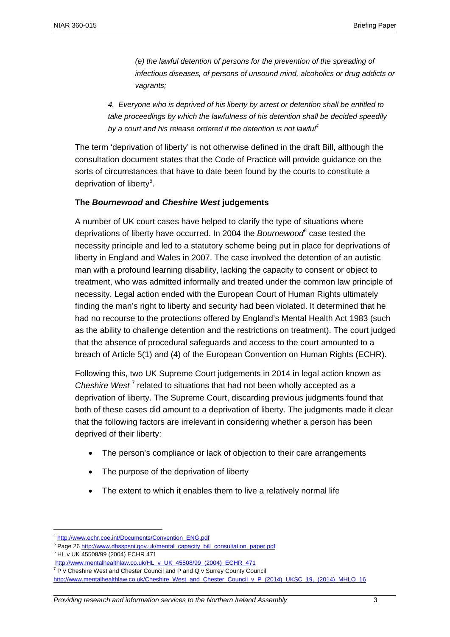*(e) the lawful detention of persons for the prevention of the spreading of infectious diseases, of persons of unsound mind, alcoholics or drug addicts or vagrants;* 

*4. Everyone who is deprived of his liberty by arrest or detention shall be entitled to take proceedings by which the lawfulness of his detention shall be decided speedily by a court and his release ordered if the detention is not lawful4*

The term 'deprivation of liberty' is not otherwise defined in the draft Bill, although the consultation document states that the Code of Practice will provide guidance on the sorts of circumstances that have to date been found by the courts to constitute a deprivation of liberty<sup>5</sup>.

### **The** *Bournewood* **and** *Cheshire West* **judgements**

A number of UK court cases have helped to clarify the type of situations where deprivations of liberty have occurred. In 2004 the *Bournewood<sup>6</sup>* case tested the necessity principle and led to a statutory scheme being put in place for deprivations of liberty in England and Wales in 2007. The case involved the detention of an autistic man with a profound learning disability, lacking the capacity to consent or object to treatment, who was admitted informally and treated under the common law principle of necessity. Legal action ended with the European Court of Human Rights ultimately finding the man's right to liberty and security had been violated. It determined that he had no recourse to the protections offered by England's Mental Health Act 1983 (such as the ability to challenge detention and the restrictions on treatment). The court judged that the absence of procedural safeguards and access to the court amounted to a breach of Article 5(1) and (4) of the European Convention on Human Rights (ECHR).

Following this, two UK Supreme Court judgements in 2014 in legal action known as Cheshire West<sup>7</sup> related to situations that had not been wholly accepted as a deprivation of liberty. The Supreme Court, discarding previous judgments found that both of these cases did amount to a deprivation of liberty. The judgments made it clear that the following factors are irrelevant in considering whether a person has been deprived of their liberty:

- The person's compliance or lack of objection to their care arrangements
- The purpose of the deprivation of liberty
- The extent to which it enables them to live a relatively normal life

1

<sup>4</sup> http://www.echr.coe.int/Documents/Convention\_ENG.pdf

<sup>&</sup>lt;sup>5</sup> Page 26 http://www.dhsspsni.gov.uk/mental\_capacity\_bill\_consultation\_paper.pdf

<sup>6</sup> HL v UK 45508/99 (2004) ECHR 471

http://www.mentalhealthlaw.co.uk/HL\_v\_UK\_45508/99\_(2004)\_ECHR\_471

 $7$  P v Cheshire West and Chester Council and P and Q v Surrey County Council http://www.mentalhealthlaw.co.uk/Cheshire\_West\_and\_Chester\_Council\_v\_P\_(2014)\_UKSC\_19,\_(2014)\_MHLO\_16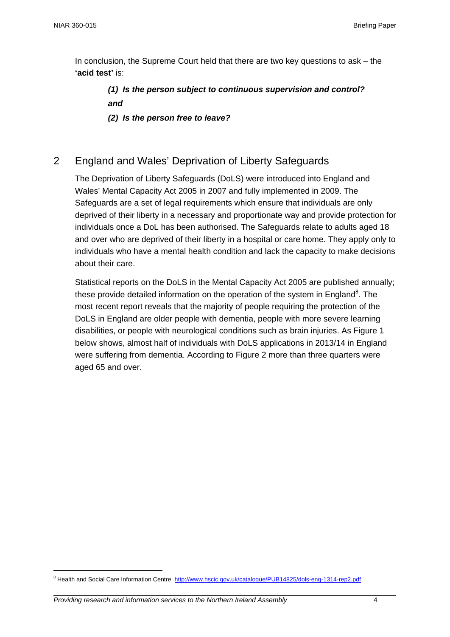In conclusion, the Supreme Court held that there are two key questions to ask – the **'acid test'** is:

> *(1) Is the person subject to continuous supervision and control? and*

*(2) Is the person free to leave?* 

### 2 England and Wales' Deprivation of Liberty Safeguards

The Deprivation of Liberty Safeguards (DoLS) were introduced into England and Wales' Mental Capacity Act 2005 in 2007 and fully implemented in 2009. The Safeguards are a set of legal requirements which ensure that individuals are only deprived of their liberty in a necessary and proportionate way and provide protection for individuals once a DoL has been authorised. The Safeguards relate to adults aged 18 and over who are deprived of their liberty in a hospital or care home. They apply only to individuals who have a mental health condition and lack the capacity to make decisions about their care.

Statistical reports on the DoLS in the Mental Capacity Act 2005 are published annually; these provide detailed information on the operation of the system in England<sup>8</sup>. The most recent report reveals that the majority of people requiring the protection of the DoLS in England are older people with dementia, people with more severe learning disabilities, or people with neurological conditions such as brain injuries. As Figure 1 below shows, almost half of individuals with DoLS applications in 2013/14 in England were suffering from dementia. According to Figure 2 more than three quarters were aged 65 and over.

<u>.</u>

<sup>&</sup>lt;sup>8</sup> Health and Social Care Information Centre http://www.hscic.gov.uk/catalogue/PUB14825/dols-eng-1314-rep2.pdf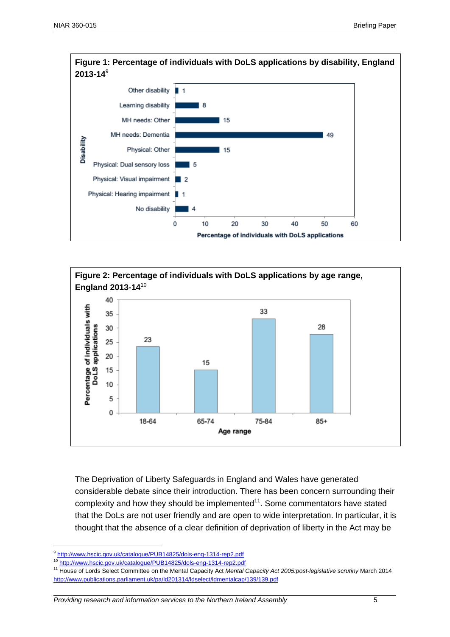



The Deprivation of Liberty Safeguards in England and Wales have generated considerable debate since their introduction. There has been concern surrounding their complexity and how they should be implemented $11$ . Some commentators have stated that the DoLs are not user friendly and are open to wide interpretation. In particular, it is thought that the absence of a clear definition of deprivation of liberty in the Act may be

<u>.</u>

<sup>9</sup> http://www.hscic.gov.uk/catalogue/PUB14825/dols-eng-1314-rep2.pdf

<sup>10</sup> http://www.hscic.gov.uk/catalogue/PUB14825/dols-eng-1314-rep2.pdf

<sup>11</sup> House of Lords Select Committee on the Mental Capacity Act *Mental Capacity Act 2005:post-legislative scrutiny* March 2014 http://www.publications.parliament.uk/pa/ld201314/ldselect/ldmentalcap/139/139.pdf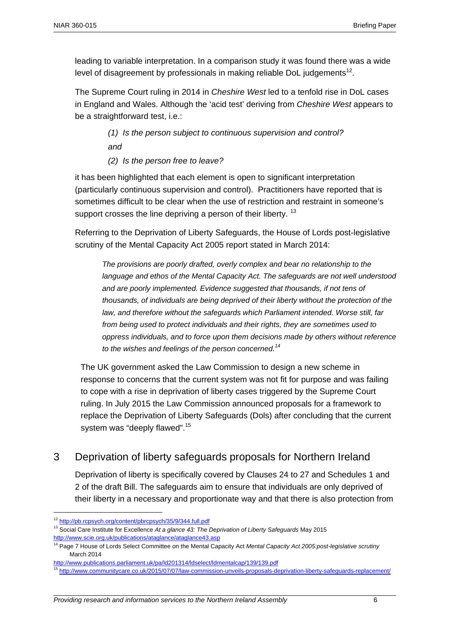leading to variable interpretation. In a comparison study it was found there was a wide level of disagreement by professionals in making reliable DoL judgements<sup>12</sup>.

The Supreme Court ruling in 2014 in *Cheshire West* led to a tenfold rise in DoL cases in England and Wales. Although the 'acid test' deriving from *Cheshire West* appears to be a straightforward test, i.e.:

> *(1) Is the person subject to continuous supervision and control? and*

*(2) Is the person free to leave?* 

it has been highlighted that each element is open to significant interpretation (particularly continuous supervision and control). Practitioners have reported that is sometimes difficult to be clear when the use of restriction and restraint in someone's support crosses the line depriving a person of their liberty.<sup>13</sup>

Referring to the Deprivation of Liberty Safeguards, the House of Lords post-legislative scrutiny of the Mental Capacity Act 2005 report stated in March 2014:

*The provisions are poorly drafted, overly complex and bear no relationship to the language and ethos of the Mental Capacity Act. The safeguards are not well understood and are poorly implemented. Evidence suggested that thousands, if not tens of thousands, of individuals are being deprived of their liberty without the protection of the law, and therefore without the safeguards which Parliament intended. Worse still, far from being used to protect individuals and their rights, they are sometimes used to oppress individuals, and to force upon them decisions made by others without reference to the wishes and feelings of the person concerned.<sup>14</sup>*

The UK government asked the Law Commission to design a new scheme in response to concerns that the current system was not fit for purpose and was failing to cope with a rise in deprivation of liberty cases triggered by the Supreme Court ruling. In July 2015 the Law Commission announced proposals for a framework to replace the Deprivation of Liberty Safeguards (Dols) after concluding that the current system was "deeply flawed".<sup>15</sup>

### 3 Deprivation of liberty safeguards proposals for Northern Ireland

Deprivation of liberty is specifically covered by Clauses 24 to 27 and Schedules 1 and 2 of the draft Bill. The safeguards aim to ensure that individuals are only deprived of their liberty in a necessary and proportionate way and that there is also protection from

1

<sup>12</sup> http://pb.rcpsych.org/content/pbrcpsych/35/9/344.full.pdf

<sup>13</sup> Social Care Institute for Excellence *At a glance 43: The Deprivation of Liberty Safeguards* May 2015 http://www.scie.org.uk/publications/ataglance/ataglance43.asp

<sup>14</sup> Page 7 House of Lords Select Committee on the Mental Capacity Act *Mental Capacity Act 2005:post-legislative scrutiny* March 2014

http://www.publications.parliament.uk/pa/ld201314/ldselect/ldmentalcap/139/139.pdf

<sup>&</sup>lt;sup>3</sup> http://www.communitycare.co.uk/2015/07/07/law-commission-unveils-proposals-deprivation-liberty-safeguards-replacement/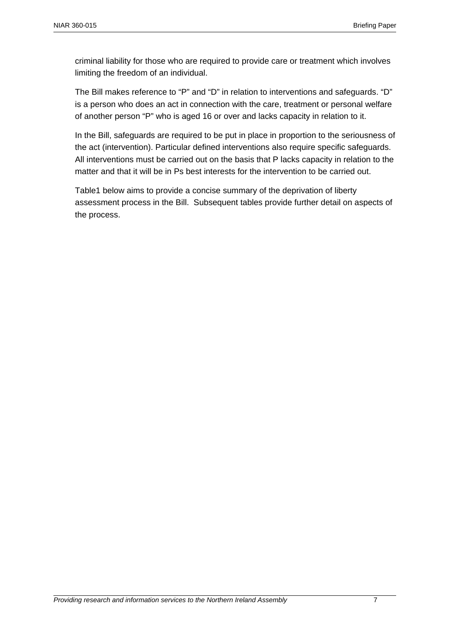criminal liability for those who are required to provide care or treatment which involves limiting the freedom of an individual.

The Bill makes reference to "P" and "D" in relation to interventions and safeguards. "D" is a person who does an act in connection with the care, treatment or personal welfare of another person "P" who is aged 16 or over and lacks capacity in relation to it.

In the Bill, safeguards are required to be put in place in proportion to the seriousness of the act (intervention). Particular defined interventions also require specific safeguards. All interventions must be carried out on the basis that P lacks capacity in relation to the matter and that it will be in Ps best interests for the intervention to be carried out.

Table1 below aims to provide a concise summary of the deprivation of liberty assessment process in the Bill. Subsequent tables provide further detail on aspects of the process.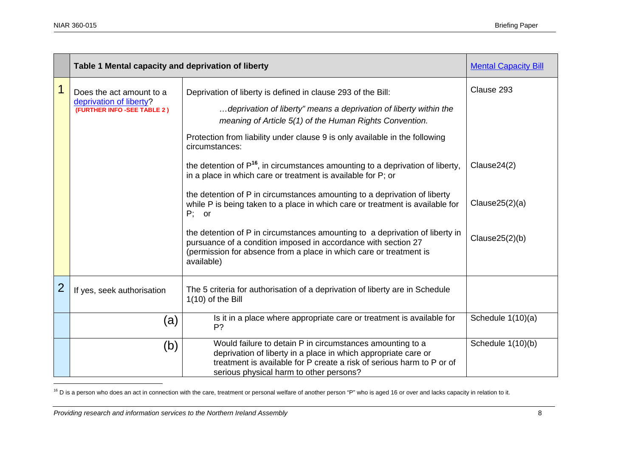|                | Table 1 Mental capacity and deprivation of liberty                                 |                                                                                                                                                                                                                                                                                                                                                                                                                                                                              | <b>Mental Capacity Bill</b>         |
|----------------|------------------------------------------------------------------------------------|------------------------------------------------------------------------------------------------------------------------------------------------------------------------------------------------------------------------------------------------------------------------------------------------------------------------------------------------------------------------------------------------------------------------------------------------------------------------------|-------------------------------------|
| $\mathbf 1$    | Does the act amount to a<br>deprivation of liberty?<br>(FURTHER INFO -SEE TABLE 2) | Deprivation of liberty is defined in clause 293 of the Bill:<br>deprivation of liberty" means a deprivation of liberty within the<br>meaning of Article 5(1) of the Human Rights Convention.<br>Protection from liability under clause 9 is only available in the following<br>circumstances:<br>the detention of $P^{16}$ , in circumstances amounting to a deprivation of liberty,                                                                                         | Clause 293<br>Clause24(2)           |
|                |                                                                                    | in a place in which care or treatment is available for P; or<br>the detention of P in circumstances amounting to a deprivation of liberty<br>while P is being taken to a place in which care or treatment is available for<br>$P$ ; or<br>the detention of P in circumstances amounting to a deprivation of liberty in<br>pursuance of a condition imposed in accordance with section 27<br>(permission for absence from a place in which care or treatment is<br>available) | Clause $25(2)(a)$<br>Clause25(2)(b) |
| $\overline{2}$ | If yes, seek authorisation                                                         | The 5 criteria for authorisation of a deprivation of liberty are in Schedule<br>$1(10)$ of the Bill                                                                                                                                                                                                                                                                                                                                                                          |                                     |
|                | (a)                                                                                | Is it in a place where appropriate care or treatment is available for<br>P?                                                                                                                                                                                                                                                                                                                                                                                                  | Schedule 1(10)(a)                   |
|                | (b)                                                                                | Would failure to detain P in circumstances amounting to a<br>deprivation of liberty in a place in which appropriate care or<br>treatment is available for P create a risk of serious harm to P or of<br>serious physical harm to other persons?                                                                                                                                                                                                                              | Schedule 1(10)(b)                   |

<sup>16</sup> D is a person who does an act in connection with the care, treatment or personal welfare of another person "P" who is aged 16 or over and lacks capacity in relation to it.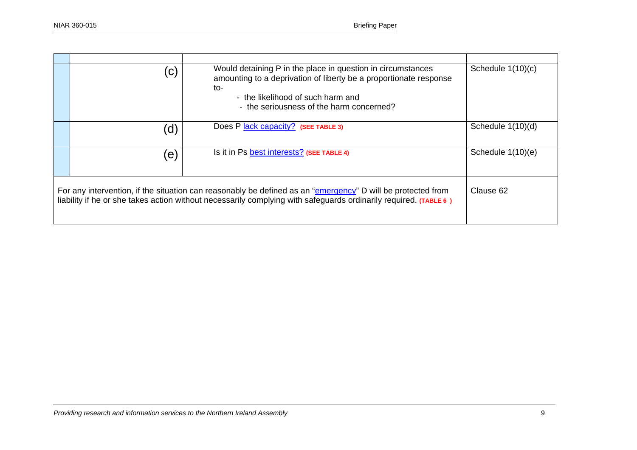|                                                                                                                                                                                                                                              | $\mathsf{C}$ | Would detaining P in the place in question in circumstances<br>amounting to a deprivation of liberty be a proportionate response<br>to-<br>- the likelihood of such harm and<br>- the seriousness of the harm concerned? | Schedule $1(10)(c)$ |  |
|----------------------------------------------------------------------------------------------------------------------------------------------------------------------------------------------------------------------------------------------|--------------|--------------------------------------------------------------------------------------------------------------------------------------------------------------------------------------------------------------------------|---------------------|--|
|                                                                                                                                                                                                                                              | d)           | Does P lack capacity? (SEE TABLE 3)                                                                                                                                                                                      | Schedule 1(10)(d)   |  |
|                                                                                                                                                                                                                                              | (e)          | Is it in Ps best interests? (SEE TABLE 4)                                                                                                                                                                                | Schedule 1(10)(e)   |  |
| Clause 62<br>For any intervention, if the situation can reasonably be defined as an "emergency" D will be protected from<br>liability if he or she takes action without necessarily complying with safeguards ordinarily required. (TABLE 6) |              |                                                                                                                                                                                                                          |                     |  |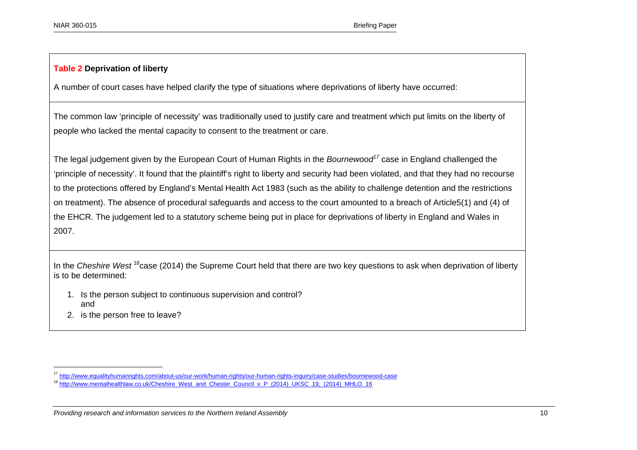### **Table 2 Deprivation of liberty**

A number of court cases have helped clarify the type of situations where deprivations of liberty have occurred:

The common law 'principle of necessity' was traditionally used to justify care and treatment which put limits on the liberty of people who lacked the mental capacity to consent to the treatment or care.

The legal judgement given by the European Court of Human Rights in the *Bournewood<sup>17</sup>* case in England challenged the 'principle of necessity'. It found that the plaintiff's right to liberty and security had been violated, and that they had no recourse to the protections offered by England's Mental Health Act 1983 (such as the ability to challenge detention and the restrictions on treatment). The absence of procedural safeguards and access to the court amounted to a breach of Article5(1) and (4) of the EHCR. The judgement led to a statutory scheme being put in place for deprivations of liberty in England and Wales in 2007.

In the *Cheshire West* <sup>18</sup>case (2014) the Supreme Court held that there are two key questions to ask when deprivation of liberty is to be determined:

- 1. Is the person subject to continuous supervision and control? and
- 2. is the person free to leave?

<sup>&</sup>lt;sup>17</sup> http://www.equalityhumanrights.com/about-us/our-work/human-rights/our-human-rights-inquiry/case-studies/bournewood-case

<sup>&</sup>lt;sup>18</sup> http://www.mentalhealthlaw.co.uk/Cheshire\_West\_and\_Chester\_Council\_v\_P\_(2014)\_UKSC\_19,\_(2014)\_MHLO\_16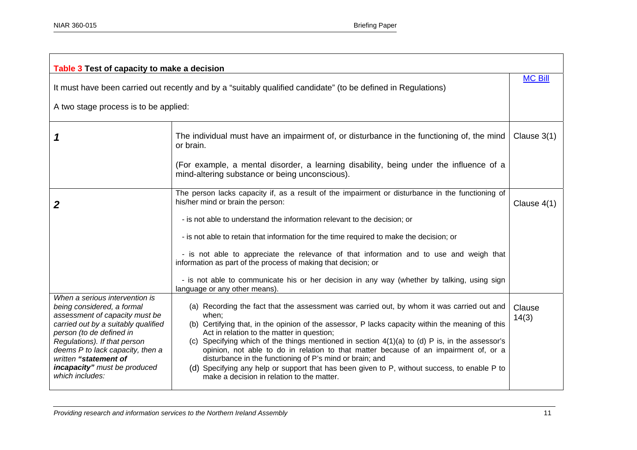| Table 3 Test of capacity to make a decision                                                                                                                                                                                                                                                                       |                                                                                                                                                                                                                                                                                                                                                                                                                                                                                                                                                                                                                                                             |                 |  |
|-------------------------------------------------------------------------------------------------------------------------------------------------------------------------------------------------------------------------------------------------------------------------------------------------------------------|-------------------------------------------------------------------------------------------------------------------------------------------------------------------------------------------------------------------------------------------------------------------------------------------------------------------------------------------------------------------------------------------------------------------------------------------------------------------------------------------------------------------------------------------------------------------------------------------------------------------------------------------------------------|-----------------|--|
| It must have been carried out recently and by a "suitably qualified candidate" (to be defined in Regulations)                                                                                                                                                                                                     |                                                                                                                                                                                                                                                                                                                                                                                                                                                                                                                                                                                                                                                             |                 |  |
| A two stage process is to be applied:                                                                                                                                                                                                                                                                             |                                                                                                                                                                                                                                                                                                                                                                                                                                                                                                                                                                                                                                                             |                 |  |
|                                                                                                                                                                                                                                                                                                                   | The individual must have an impairment of, or disturbance in the functioning of, the mind<br>or brain.                                                                                                                                                                                                                                                                                                                                                                                                                                                                                                                                                      | Clause $3(1)$   |  |
|                                                                                                                                                                                                                                                                                                                   | (For example, a mental disorder, a learning disability, being under the influence of a<br>mind-altering substance or being unconscious).                                                                                                                                                                                                                                                                                                                                                                                                                                                                                                                    |                 |  |
| 2                                                                                                                                                                                                                                                                                                                 | The person lacks capacity if, as a result of the impairment or disturbance in the functioning of<br>his/her mind or brain the person:                                                                                                                                                                                                                                                                                                                                                                                                                                                                                                                       |                 |  |
|                                                                                                                                                                                                                                                                                                                   | - is not able to understand the information relevant to the decision; or                                                                                                                                                                                                                                                                                                                                                                                                                                                                                                                                                                                    |                 |  |
|                                                                                                                                                                                                                                                                                                                   | - is not able to retain that information for the time required to make the decision; or                                                                                                                                                                                                                                                                                                                                                                                                                                                                                                                                                                     |                 |  |
|                                                                                                                                                                                                                                                                                                                   | - is not able to appreciate the relevance of that information and to use and weigh that<br>information as part of the process of making that decision; or                                                                                                                                                                                                                                                                                                                                                                                                                                                                                                   |                 |  |
|                                                                                                                                                                                                                                                                                                                   | - is not able to communicate his or her decision in any way (whether by talking, using sign<br>language or any other means).                                                                                                                                                                                                                                                                                                                                                                                                                                                                                                                                |                 |  |
| When a serious intervention is<br>being considered, a formal<br>assessment of capacity must be<br>carried out by a suitably qualified<br>person (to de defined in<br>Regulations). If that person<br>deems P to lack capacity, then a<br>written "statement of<br>incapacity" must be produced<br>which includes: | (a) Recording the fact that the assessment was carried out, by whom it was carried out and<br>when;<br>(b) Certifying that, in the opinion of the assessor, P lacks capacity within the meaning of this<br>Act in relation to the matter in question;<br>(c) Specifying which of the things mentioned in section $4(1)(a)$ to (d) P is, in the assessor's<br>opinion, not able to do in relation to that matter because of an impairment of, or a<br>disturbance in the functioning of P's mind or brain; and<br>(d) Specifying any help or support that has been given to P, without success, to enable P to<br>make a decision in relation to the matter. | Clause<br>14(3) |  |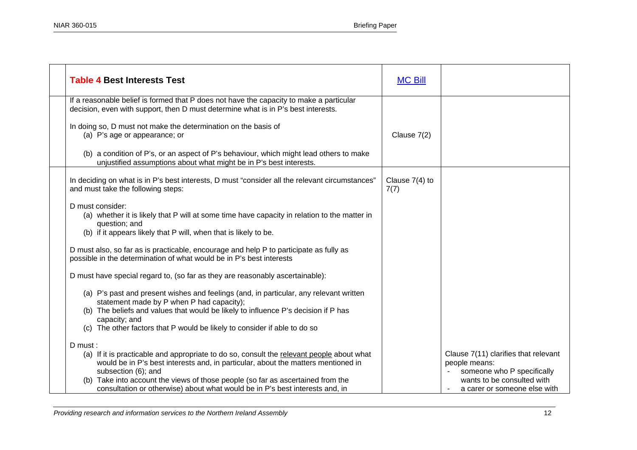| <b>Table 4 Best Interests Test</b>                                                                                                                                                                               | <b>MC Bill</b>           |                                                                                     |
|------------------------------------------------------------------------------------------------------------------------------------------------------------------------------------------------------------------|--------------------------|-------------------------------------------------------------------------------------|
| If a reasonable belief is formed that P does not have the capacity to make a particular<br>decision, even with support, then D must determine what is in P's best interests.                                     |                          |                                                                                     |
| In doing so, D must not make the determination on the basis of<br>(a) P's age or appearance; or                                                                                                                  | Clause 7(2)              |                                                                                     |
| (b) a condition of P's, or an aspect of P's behaviour, which might lead others to make<br>unjustified assumptions about what might be in P's best interests.                                                     |                          |                                                                                     |
| In deciding on what is in P's best interests, D must "consider all the relevant circumstances"<br>and must take the following steps:                                                                             | Clause $7(4)$ to<br>7(7) |                                                                                     |
| D must consider:<br>(a) whether it is likely that P will at some time have capacity in relation to the matter in<br>question; and<br>(b) if it appears likely that P will, when that is likely to be.            |                          |                                                                                     |
| D must also, so far as is practicable, encourage and help P to participate as fully as<br>possible in the determination of what would be in P's best interests                                                   |                          |                                                                                     |
| D must have special regard to, (so far as they are reasonably ascertainable):                                                                                                                                    |                          |                                                                                     |
| (a) P's past and present wishes and feelings (and, in particular, any relevant written<br>statement made by P when P had capacity);                                                                              |                          |                                                                                     |
| (b) The beliefs and values that would be likely to influence P's decision if P has<br>capacity; and                                                                                                              |                          |                                                                                     |
| (c) The other factors that P would be likely to consider if able to do so                                                                                                                                        |                          |                                                                                     |
| D must:<br>(a) If it is practicable and appropriate to do so, consult the relevant people about what<br>would be in P's best interests and, in particular, about the matters mentioned in<br>subsection (6); and |                          | Clause 7(11) clarifies that relevant<br>people means:<br>someone who P specifically |
| (b) Take into account the views of those people (so far as ascertained from the<br>consultation or otherwise) about what would be in P's best interests and, in                                                  |                          | wants to be consulted with<br>a carer or someone else with                          |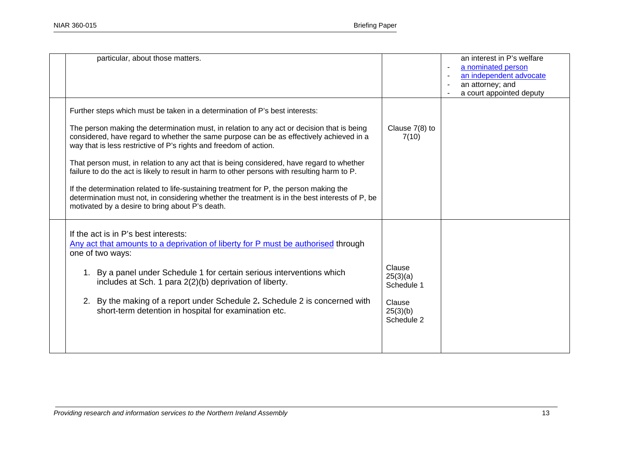| particular, about those matters.                                                                                                                                                                                                                                                                                                                                                                                                                                                                                                                                                                                                                                                                                                                                                      |                                                                      | an interest in P's welfare<br>a nominated person<br>an independent advocate<br>an attorney; and<br>a court appointed deputy |
|---------------------------------------------------------------------------------------------------------------------------------------------------------------------------------------------------------------------------------------------------------------------------------------------------------------------------------------------------------------------------------------------------------------------------------------------------------------------------------------------------------------------------------------------------------------------------------------------------------------------------------------------------------------------------------------------------------------------------------------------------------------------------------------|----------------------------------------------------------------------|-----------------------------------------------------------------------------------------------------------------------------|
| Further steps which must be taken in a determination of P's best interests:<br>The person making the determination must, in relation to any act or decision that is being<br>considered, have regard to whether the same purpose can be as effectively achieved in a<br>way that is less restrictive of P's rights and freedom of action.<br>That person must, in relation to any act that is being considered, have regard to whether<br>failure to do the act is likely to result in harm to other persons with resulting harm to P.<br>If the determination related to life-sustaining treatment for P, the person making the<br>determination must not, in considering whether the treatment is in the best interests of P, be<br>motivated by a desire to bring about P's death. | Clause 7(8) to<br>7(10)                                              |                                                                                                                             |
| If the act is in P's best interests:<br><u>Any act that amounts to a deprivation of liberty for P must be authorised</u> through<br>one of two ways:<br>By a panel under Schedule 1 for certain serious interventions which<br>1.<br>includes at Sch. 1 para 2(2)(b) deprivation of liberty.<br>By the making of a report under Schedule 2. Schedule 2 is concerned with<br>2.<br>short-term detention in hospital for examination etc.                                                                                                                                                                                                                                                                                                                                               | Clause<br>25(3)(a)<br>Schedule 1<br>Clause<br>25(3)(b)<br>Schedule 2 |                                                                                                                             |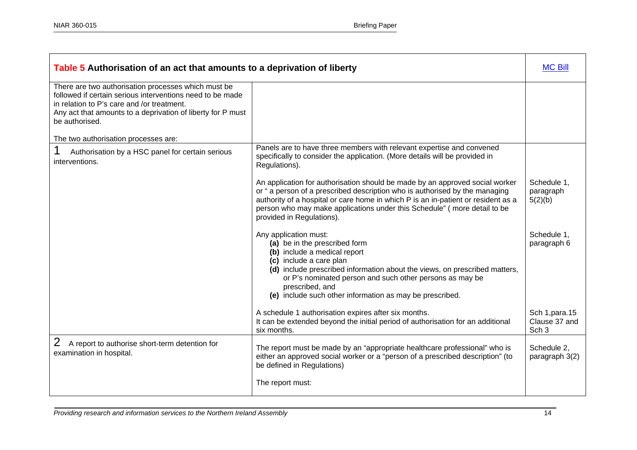| Table 5 Authorisation of an act that amounts to a deprivation of liberty                                                                                                                                                                        |                                                                                                                                                                                                                                                                                                                                                           |                                                      |  |
|-------------------------------------------------------------------------------------------------------------------------------------------------------------------------------------------------------------------------------------------------|-----------------------------------------------------------------------------------------------------------------------------------------------------------------------------------------------------------------------------------------------------------------------------------------------------------------------------------------------------------|------------------------------------------------------|--|
| There are two authorisation processes which must be<br>followed if certain serious interventions need to be made<br>in relation to P's care and /or treatment.<br>Any act that amounts to a deprivation of liberty for P must<br>be authorised. |                                                                                                                                                                                                                                                                                                                                                           |                                                      |  |
| The two authorisation processes are:                                                                                                                                                                                                            |                                                                                                                                                                                                                                                                                                                                                           |                                                      |  |
| Authorisation by a HSC panel for certain serious<br>interventions.                                                                                                                                                                              | Panels are to have three members with relevant expertise and convened<br>specifically to consider the application. (More details will be provided in<br>Regulations).                                                                                                                                                                                     |                                                      |  |
|                                                                                                                                                                                                                                                 | An application for authorisation should be made by an approved social worker<br>or " a person of a prescribed description who is authorised by the managing<br>authority of a hospital or care home in which P is an in-patient or resident as a<br>person who may make applications under this Schedule" (more detail to be<br>provided in Regulations). | Schedule 1,<br>paragraph<br>5(2)(b)                  |  |
|                                                                                                                                                                                                                                                 | Any application must:<br>(a) be in the prescribed form<br>(b) include a medical report<br>(c) include a care plan<br>(d) include prescribed information about the views, on prescribed matters,<br>or P's nominated person and such other persons as may be<br>prescribed, and<br>(e) include such other information as may be prescribed.                | Schedule 1,<br>paragraph 6                           |  |
|                                                                                                                                                                                                                                                 | A schedule 1 authorisation expires after six months.<br>It can be extended beyond the initial period of authorisation for an additional<br>six months.                                                                                                                                                                                                    | Sch 1, para. 15<br>Clause 37 and<br>Sch <sub>3</sub> |  |
| A report to authorise short-term detention for<br>examination in hospital.                                                                                                                                                                      | The report must be made by an "appropriate healthcare professional" who is<br>either an approved social worker or a "person of a prescribed description" (to<br>be defined in Regulations)                                                                                                                                                                | Schedule 2,<br>paragraph 3(2)                        |  |
|                                                                                                                                                                                                                                                 | The report must:                                                                                                                                                                                                                                                                                                                                          |                                                      |  |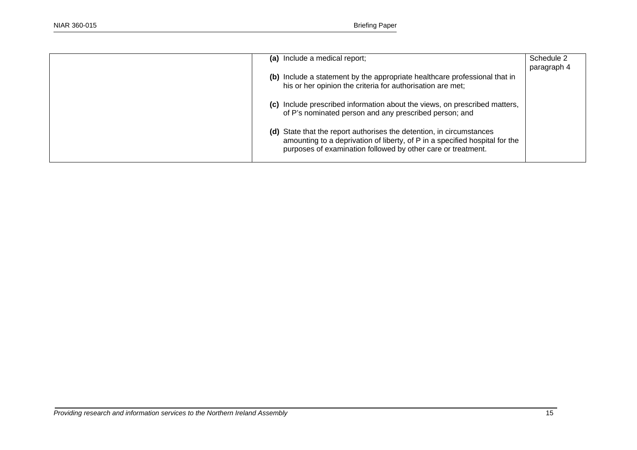| (a) Include a medical report;                                                                                                                                                                                       | Schedule 2<br>paragraph 4 |
|---------------------------------------------------------------------------------------------------------------------------------------------------------------------------------------------------------------------|---------------------------|
| (b) Include a statement by the appropriate healthcare professional that in<br>his or her opinion the criteria for authorisation are met;                                                                            |                           |
| (c) Include prescribed information about the views, on prescribed matters,<br>of P's nominated person and any prescribed person; and                                                                                |                           |
| (d) State that the report authorises the detention, in circumstances<br>amounting to a deprivation of liberty, of P in a specified hospital for the<br>purposes of examination followed by other care or treatment. |                           |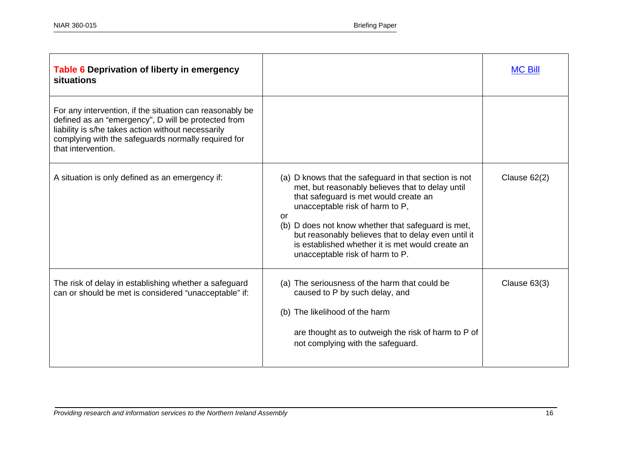| Table 6 Deprivation of liberty in emergency<br>situations                                                                                                                                                                                          |                                                                                                                                                                                                                                                                                                                                                                                                 | <b>MC Bill</b> |
|----------------------------------------------------------------------------------------------------------------------------------------------------------------------------------------------------------------------------------------------------|-------------------------------------------------------------------------------------------------------------------------------------------------------------------------------------------------------------------------------------------------------------------------------------------------------------------------------------------------------------------------------------------------|----------------|
| For any intervention, if the situation can reasonably be<br>defined as an "emergency", D will be protected from<br>liability is s/he takes action without necessarily<br>complying with the safeguards normally required for<br>that intervention. |                                                                                                                                                                                                                                                                                                                                                                                                 |                |
| A situation is only defined as an emergency if:                                                                                                                                                                                                    | (a) D knows that the safeguard in that section is not<br>met, but reasonably believes that to delay until<br>that safeguard is met would create an<br>unacceptable risk of harm to P,<br>or<br>(b) D does not know whether that safeguard is met,<br>but reasonably believes that to delay even until it<br>is established whether it is met would create an<br>unacceptable risk of harm to P. | Clause $62(2)$ |
| The risk of delay in establishing whether a safeguard<br>can or should be met is considered "unacceptable" if:                                                                                                                                     | (a) The seriousness of the harm that could be<br>caused to P by such delay, and<br>(b) The likelihood of the harm<br>are thought as to outweigh the risk of harm to P of<br>not complying with the safeguard.                                                                                                                                                                                   | Clause $63(3)$ |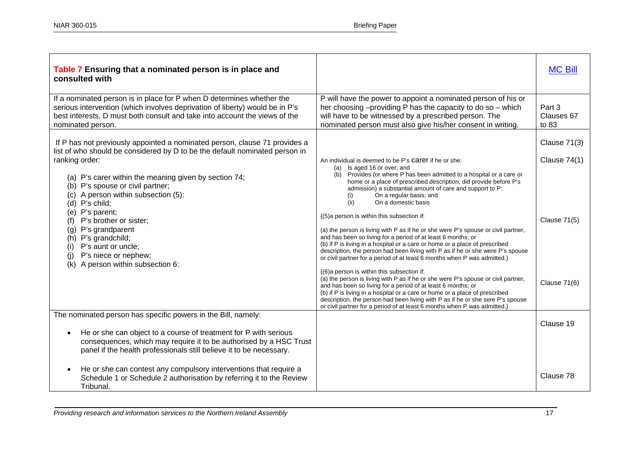| Table 7 Ensuring that a nominated person is in place and<br>consulted with                                                                                                                                                                                                                                                                                                                                                                                                                                                     |                                                                                                                                                                                                                                                                                                                                                                                                                                                                                                                                                                                                                                                                                                                                                                                                                                                                                                                                                                                                                                                                                                                                                                                                                                                                  | <b>MC Bill</b>                                                                 |
|--------------------------------------------------------------------------------------------------------------------------------------------------------------------------------------------------------------------------------------------------------------------------------------------------------------------------------------------------------------------------------------------------------------------------------------------------------------------------------------------------------------------------------|------------------------------------------------------------------------------------------------------------------------------------------------------------------------------------------------------------------------------------------------------------------------------------------------------------------------------------------------------------------------------------------------------------------------------------------------------------------------------------------------------------------------------------------------------------------------------------------------------------------------------------------------------------------------------------------------------------------------------------------------------------------------------------------------------------------------------------------------------------------------------------------------------------------------------------------------------------------------------------------------------------------------------------------------------------------------------------------------------------------------------------------------------------------------------------------------------------------------------------------------------------------|--------------------------------------------------------------------------------|
| If a nominated person is in place for P when D determines whether the<br>serious intervention (which involves deprivation of liberty) would be in P's<br>best interests, D must both consult and take into account the views of the<br>nominated person.                                                                                                                                                                                                                                                                       | P will have the power to appoint a nominated person of his or<br>her choosing -providing P has the capacity to do so - which<br>will have to be witnessed by a prescribed person. The<br>nominated person must also give his/her consent in writing.                                                                                                                                                                                                                                                                                                                                                                                                                                                                                                                                                                                                                                                                                                                                                                                                                                                                                                                                                                                                             | Part 3<br>Clauses 67<br>to 83                                                  |
| If P has not previously appointed a nominated person, clause 71 provides a<br>list of who should be considered by D to be the default nominated person in<br>ranking order:<br>(a) P's carer within the meaning given by section 74;<br>(b) P's spouse or civil partner;<br>(c) A person within subsection (5):<br>(d) P's child;<br>(e) P's parent;<br>(f) P's brother or sister;<br>(g) P's grandparent<br>(h) P's grandchild;<br>(i) P's aunt or uncle;<br>P's niece or nephew;<br>(i)<br>(k) A person within subsection 6: | An individual is deemed to be P's Carer if he or she:<br>(a) Is aged 16 or over; and<br>(b) Provides (or where P has been admitted to a hospital or a care or<br>home or a place of prescribed description, did provide before P's<br>admission) a substantial amount of care and support to P:<br>On a regular basis; and<br>(i)<br>(ii)<br>On a domestic basis<br>{(5)a person is within this subsection if:<br>(a) the person is living with P as if he or she were P's spouse or civil partner,<br>and has been so living for a period of at least 6 months; or<br>(b) if P is living in a hospital or a care or home or a place of prescribed<br>description, the person had been living with P as if he or she were P's spouse<br>or civil partner for a period of at least 6 months when P was admitted.}<br>{(6)a person is within this subsection if:<br>(a) the person is living with P as if he or she were P's spouse or civil partner,<br>and has been so living for a period of at least 6 months; or<br>(b) if P is living in a hospital or a care or home or a place of prescribed<br>description, the person had been living with P as if he or she sere P's spouse<br>or civil partner for a period of at least 6 months when P was admitted.} | Clause $71(3)$<br>Clause $74(1)$<br><b>Clause 71(5)</b><br><b>Clause 71(6)</b> |
| The nominated person has specific powers in the Bill, namely:<br>He or she can object to a course of treatment for P with serious<br>$\bullet$<br>consequences, which may require it to be authorised by a HSC Trust<br>panel if the health professionals still believe it to be necessary.                                                                                                                                                                                                                                    |                                                                                                                                                                                                                                                                                                                                                                                                                                                                                                                                                                                                                                                                                                                                                                                                                                                                                                                                                                                                                                                                                                                                                                                                                                                                  | Clause 19                                                                      |
| He or she can contest any compulsory interventions that require a<br>$\bullet$<br>Schedule 1 or Schedule 2 authorisation by referring it to the Review<br>Tribunal.                                                                                                                                                                                                                                                                                                                                                            |                                                                                                                                                                                                                                                                                                                                                                                                                                                                                                                                                                                                                                                                                                                                                                                                                                                                                                                                                                                                                                                                                                                                                                                                                                                                  | Clause 78                                                                      |